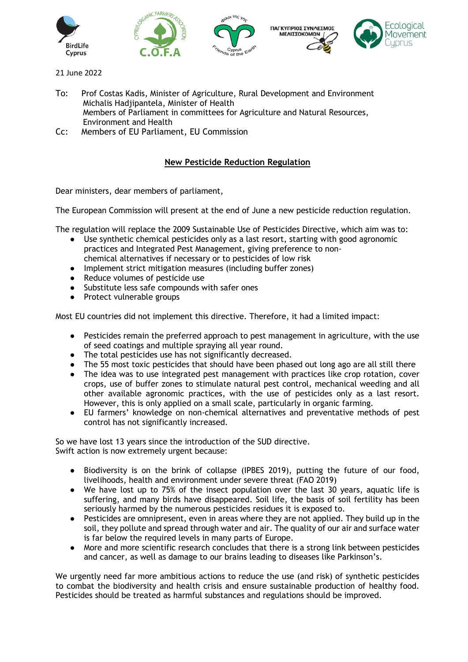

- 21 June 2022
- To: Prof Costas Kadis, Minister of Agriculture, Rural Development and Environment Michalis Hadjipantela, Minister of Health Members of Parliament in committees for Agriculture and Natural Resources, Environment and Health
- Cc: Members of EU Parliament, EU Commission

## **New Pesticide Reduction Regulation**

Dear ministers, dear members of parliament,

The European Commission will present at the end of June a new pesticide reduction regulation.

The regulation will replace the 2009 Sustainable Use of Pesticides Directive, which aim was to:

- Use synthetic chemical pesticides only as a last resort, starting with good agronomic practices and Integrated Pest Management, giving preference to nonchemical alternatives if necessary or to pesticides of low risk
- Implement strict mitigation measures (including buffer zones)
- Reduce volumes of pesticide use
- Substitute less safe compounds with safer ones
- Protect vulnerable groups

Most EU countries did not implement this directive. Therefore, it had a limited impact:

- Pesticides remain the preferred approach to pest management in agriculture, with the use of seed coatings and multiple spraying all year round.
- The total pesticides use has not significantly decreased.
- The 55 most toxic pesticides that should have been phased out long ago are all still there
- The idea was to use integrated pest management with practices like crop rotation, cover crops, use of buffer zones to stimulate natural pest control, mechanical weeding and all other available agronomic practices, with the use of pesticides only as a last resort. However, this is only applied on a small scale, particularly in organic farming.
- EU farmers' knowledge on non-chemical alternatives and preventative methods of pest control has not significantly increased.

So we have lost 13 years since the introduction of the SUD directive. Swift action is now extremely urgent because:

- Biodiversity is on the brink of collapse (IPBES 2019), putting the future of our food, livelihoods, health and environment under severe threat (FAO 2019)
- We have lost up to 75% of the insect population over the last 30 years, aquatic life is suffering, and many birds have disappeared. Soil life, the basis of soil fertility has been seriously harmed by the numerous pesticides residues it is exposed to.
- Pesticides are omnipresent, even in areas where they are not applied. They build up in the soil, they pollute and spread through water and air. The quality of our air and surface water is far below the required levels in many parts of Europe.
- More and more scientific research concludes that there is a strong link between pesticides and cancer, as well as damage to our brains leading to diseases like Parkinson's.

We urgently need far more ambitious actions to reduce the use (and risk) of synthetic pesticides to combat the biodiversity and health crisis and ensure sustainable production of healthy food. Pesticides should be treated as harmful substances and regulations should be improved.